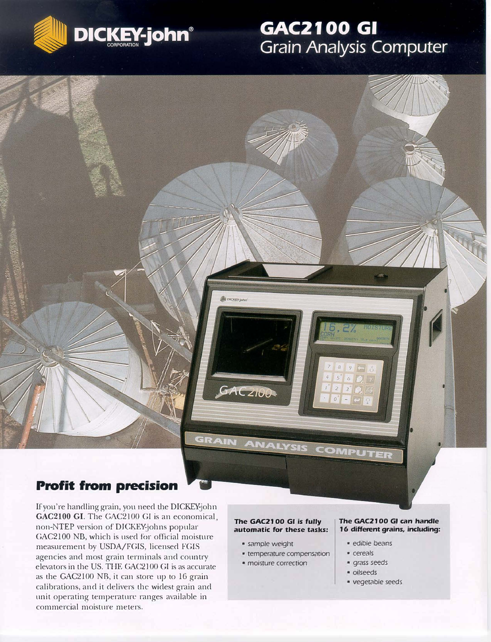

# **GAC2100 GI Grain Analysis Computer**

# GAC 2100 GRAIN ANALYSIS COMPUTER **Profit from precision**

If you're handling grain, you need the DICKEY-john GAC2100 GI. The GAC2100 GI is an economical, non-NTEP version of DICKEY-johns popular GAC2100 NB, which is used for official moisture measurement by USDA/FGIS, licensed FGIS agencies and most grain terminals and country elevators in the US. THE GAC2l 00 GI is as accurate as the GAC2100 NB, it can store up to 16 grain calibrations, and it delivers the widest grain and unit operating temperature ranges available in commercial moisture meters.

### **The GAC21 00 GI is fully automatic for these tasks:**

- sample weight
- temperature compensation
- moisture correction

### **The GAC2100 GI can handle 1 6 different grains, including:**

- edible beans
- cereals
- grass *seeds*
- oilseeds
- vegetable seeds